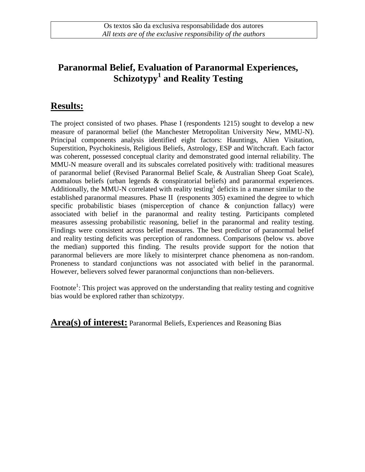## **Paranormal Belief, Evaluation of Paranormal Experiences, Schizotypy<sup>1</sup> and Reality Testing**

## **Results:**

The project consisted of two phases. Phase I (respondents 1215) sought to develop a new measure of paranormal belief (the Manchester Metropolitan University New, MMU-N). Principal components analysis identified eight factors: Hauntings, Alien Visitation, Superstition, Psychokinesis, Religious Beliefs, Astrology, ESP and Witchcraft. Each factor was coherent, possessed conceptual clarity and demonstrated good internal reliability. The MMU-N measure overall and its subscales correlated positively with: traditional measures of paranormal belief (Revised Paranormal Belief Scale, & Australian Sheep Goat Scale), anomalous beliefs (urban legends  $\&$  conspiratorial beliefs) and paranormal experiences. Additionally, the MMU-N correlated with reality testing<sup>1</sup> deficits in a manner similar to the established paranormal measures. Phase II (responents 305) examined the degree to which specific probabilistic biases (misperception of chance & conjunction fallacy) were associated with belief in the paranormal and reality testing. Participants completed measures assessing probabilistic reasoning, belief in the paranormal and reality testing. Findings were consistent across belief measures. The best predictor of paranormal belief and reality testing deficits was perception of randomness. Comparisons (below vs. above the median) supported this finding. The results provide support for the notion that paranormal believers are more likely to misinterpret chance phenomena as non-random. Proneness to standard conjunctions was not associated with belief in the paranormal. However, believers solved fewer paranormal conjunctions than non-believers.

Footnote<sup>1</sup>: This project was approved on the understanding that reality testing and cognitive bias would be explored rather than schizotypy.

Area(s) of interest: Paranormal Beliefs, Experiences and Reasoning Bias